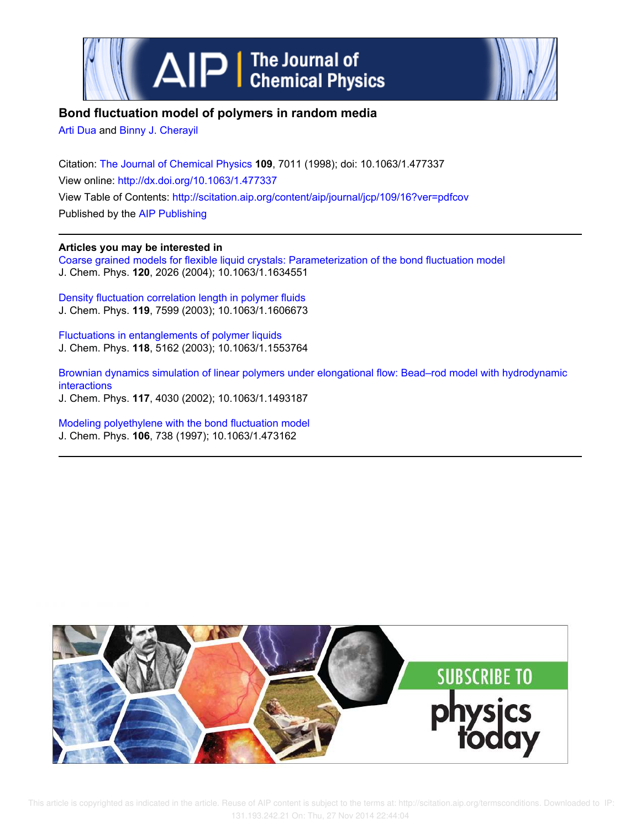



# **Bond fluctuation model of polymers in random media**

Arti Dua and Binny J. Cherayil

Citation: The Journal of Chemical Physics **109**, 7011 (1998); doi: 10.1063/1.477337 View online: http://dx.doi.org/10.1063/1.477337 View Table of Contents: http://scitation.aip.org/content/aip/journal/jcp/109/16?ver=pdfcov Published by the AIP Publishing

## **Articles you may be interested in**

Coarse grained models for flexible liquid crystals: Parameterization of the bond fluctuation model J. Chem. Phys. **120**, 2026 (2004); 10.1063/1.1634551

Density fluctuation correlation length in polymer fluids J. Chem. Phys. **119**, 7599 (2003); 10.1063/1.1606673

Fluctuations in entanglements of polymer liquids J. Chem. Phys. **118**, 5162 (2003); 10.1063/1.1553764

Brownian dynamics simulation of linear polymers under elongational flow: Bead–rod model with hydrodynamic interactions J. Chem. Phys. **117**, 4030 (2002); 10.1063/1.1493187

Modeling polyethylene with the bond fluctuation model J. Chem. Phys. **106**, 738 (1997); 10.1063/1.473162



 This article is copyrighted as indicated in the article. Reuse of AIP content is subject to the terms at: http://scitation.aip.org/termsconditions. Downloaded to IP: 131.193.242.21 On: Thu, 27 Nov 2014 22:44:04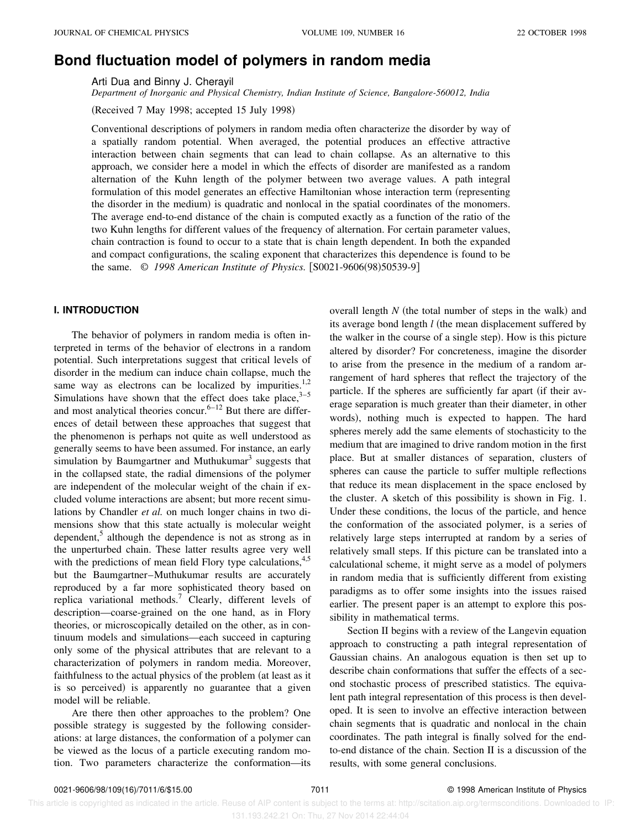# **Bond fluctuation model of polymers in random media**

Arti Dua and Binny J. Cherayil

*Department of Inorganic and Physical Chemistry, Indian Institute of Science, Bangalore-560012, India*

(Received 7 May 1998; accepted 15 July 1998)

Conventional descriptions of polymers in random media often characterize the disorder by way of a spatially random potential. When averaged, the potential produces an effective attractive interaction between chain segments that can lead to chain collapse. As an alternative to this approach, we consider here a model in which the effects of disorder are manifested as a random alternation of the Kuhn length of the polymer between two average values. A path integral formulation of this model generates an effective Hamiltonian whose interaction term (representing the disorder in the medium) is quadratic and nonlocal in the spatial coordinates of the monomers. The average end-to-end distance of the chain is computed exactly as a function of the ratio of the two Kuhn lengths for different values of the frequency of alternation. For certain parameter values, chain contraction is found to occur to a state that is chain length dependent. In both the expanded and compact configurations, the scaling exponent that characterizes this dependence is found to be the same. © 1998 American Institute of Physics. [S0021-9606(98)50539-9]

## **I. INTRODUCTION**

The behavior of polymers in random media is often interpreted in terms of the behavior of electrons in a random potential. Such interpretations suggest that critical levels of disorder in the medium can induce chain collapse, much the same way as electrons can be localized by impurities.<sup>1,2</sup> Simulations have shown that the effect does take place,  $3-5$ and most analytical theories concur. $6-12$  But there are differences of detail between these approaches that suggest that the phenomenon is perhaps not quite as well understood as generally seems to have been assumed. For instance, an early simulation by Baumgartner and Muthukumar<sup>3</sup> suggests that in the collapsed state, the radial dimensions of the polymer are independent of the molecular weight of the chain if excluded volume interactions are absent; but more recent simulations by Chandler *et al.* on much longer chains in two dimensions show that this state actually is molecular weight dependent,<sup>5</sup> although the dependence is not as strong as in the unperturbed chain. These latter results agree very well with the predictions of mean field Flory type calculations,  $4.5$ but the Baumgartner–Muthukumar results are accurately reproduced by a far more sophisticated theory based on replica variational methods.<sup>7</sup> Clearly, different levels of description—coarse-grained on the one hand, as in Flory theories, or microscopically detailed on the other, as in continuum models and simulations—each succeed in capturing only some of the physical attributes that are relevant to a characterization of polymers in random media. Moreover, faithfulness to the actual physics of the problem (at least as it is so perceived) is apparently no guarantee that a given model will be reliable.

Are there then other approaches to the problem? One possible strategy is suggested by the following considerations: at large distances, the conformation of a polymer can be viewed as the locus of a particle executing random motion. Two parameters characterize the conformation—its overall length  $N$  (the total number of steps in the walk) and its average bond length *l* (the mean displacement suffered by the walker in the course of a single step). How is this picture altered by disorder? For concreteness, imagine the disorder to arise from the presence in the medium of a random arrangement of hard spheres that reflect the trajectory of the particle. If the spheres are sufficiently far apart (if their average separation is much greater than their diameter, in other words), nothing much is expected to happen. The hard spheres merely add the same elements of stochasticity to the medium that are imagined to drive random motion in the first place. But at smaller distances of separation, clusters of spheres can cause the particle to suffer multiple reflections that reduce its mean displacement in the space enclosed by the cluster. A sketch of this possibility is shown in Fig. 1. Under these conditions, the locus of the particle, and hence the conformation of the associated polymer, is a series of relatively large steps interrupted at random by a series of relatively small steps. If this picture can be translated into a calculational scheme, it might serve as a model of polymers in random media that is sufficiently different from existing paradigms as to offer some insights into the issues raised earlier. The present paper is an attempt to explore this possibility in mathematical terms.

Section II begins with a review of the Langevin equation approach to constructing a path integral representation of Gaussian chains. An analogous equation is then set up to describe chain conformations that suffer the effects of a second stochastic process of prescribed statistics. The equivalent path integral representation of this process is then developed. It is seen to involve an effective interaction between chain segments that is quadratic and nonlocal in the chain coordinates. The path integral is finally solved for the endto-end distance of the chain. Section II is a discussion of the results, with some general conclusions.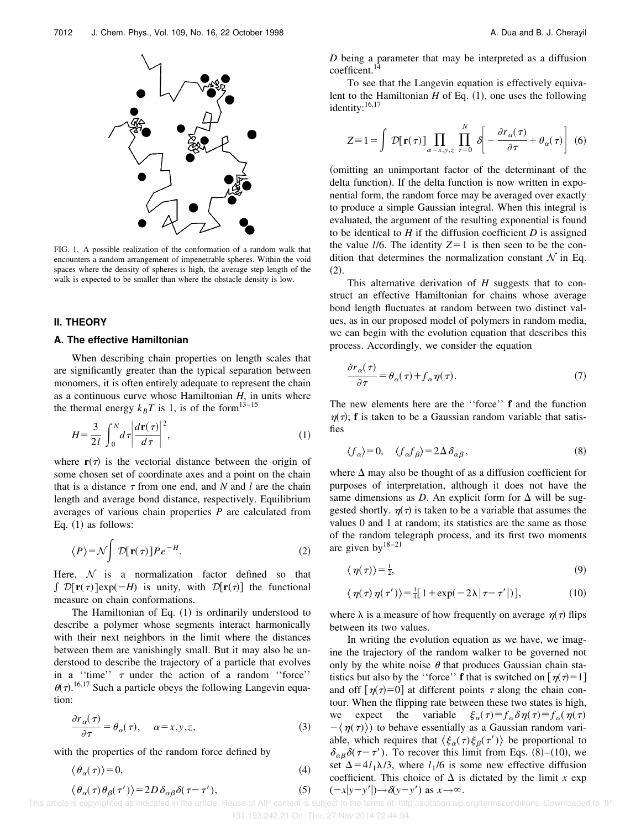

FIG. 1. A possible realization of the conformation of a random walk that encounters a random arrangement of impenetrable spheres. Within the void spaces where the density of spheres is high, the average step length of the walk is expected to be smaller than where the obstacle density is low.

#### **II. THEORY**

#### **A. The effective Hamiltonian**

When describing chain properties on length scales that are significantly greater than the typical separation between monomers, it is often entirely adequate to represent the chain as a continuous curve whose Hamiltonian *H*, in units where the thermal energy  $k_B T$  is 1, is of the form<sup>13–15</sup>

$$
H = \frac{3}{2l} \int_0^N d\tau \left| \frac{d\mathbf{r}(\tau)}{d\tau} \right|^2,
$$
 (1)

where  $\mathbf{r}(\tau)$  is the vectorial distance between the origin of some chosen set of coordinate axes and a point on the chain that is a distance  $\tau$  from one end, and *N* and *l* are the chain length and average bond distance, respectively. Equilibrium averages of various chain properties *P* are calculated from Eq.  $(1)$  as follows:

$$
\langle P \rangle = \mathcal{N} \int \mathcal{D}[\mathbf{r}(\tau)] P e^{-H}.
$$
 (2)

Here,  $\mathcal N$  is a normalization factor defined so that  $\int$  D[**r**( $\tau$ )] exp( $-H$ ) is unity, with D[**r**( $\tau$ )] the functional measure on chain conformations.

The Hamiltonian of Eq.  $(1)$  is ordinarily understood to describe a polymer whose segments interact harmonically with their next neighbors in the limit where the distances between them are vanishingly small. But it may also be understood to describe the trajectory of a particle that evolves in a "time"  $\tau$  under the action of a random "force"  $\theta(\tau)$ .<sup>16,17</sup> Such a particle obeys the following Langevin equation:

$$
\frac{\partial r_{\alpha}(\tau)}{\partial \tau} = \theta_{\alpha}(\tau), \quad \alpha = x, y, z,
$$
\n(3)

with the properties of the random force defined by

$$
\langle \theta_{\alpha}(\tau) \rangle = 0, \tag{4}
$$

$$
\langle \theta_{\alpha}(\tau) \theta_{\beta}(\tau') \rangle = 2D \delta_{\alpha\beta} \delta(\tau - \tau'), \tag{5}
$$

*D* being a parameter that may be interpreted as a diffusion coefficent.<sup>14</sup>

To see that the Langevin equation is effectively equivalent to the Hamiltonian  $H$  of Eq.  $(1)$ , one uses the following identity: $16,17$ 

$$
Z = 1 = \int \mathcal{D}[\mathbf{r}(\tau)] \prod_{\alpha = x, y, z} \prod_{\tau = 0}^{N} \delta \left[ -\frac{\partial r_{\alpha}(\tau)}{\partial \tau} + \theta_{\alpha}(\tau) \right] (6)
$$

(omitting an unimportant factor of the determinant of the delta function). If the delta function is now written in exponential form, the random force may be averaged over exactly to produce a simple Gaussian integral. When this integral is evaluated, the argument of the resulting exponential is found to be identical to  $H$  if the diffusion coefficient  $D$  is assigned the value  $l/6$ . The identity  $Z=1$  is then seen to be the condition that determines the normalization constant  $\mathcal N$  in Eq.  $(2).$ 

This alternative derivation of *H* suggests that to construct an effective Hamiltonian for chains whose average bond length fluctuates at random between two distinct values, as in our proposed model of polymers in random media, we can begin with the evolution equation that describes this process. Accordingly, we consider the equation

$$
\frac{\partial r_{\alpha}(\tau)}{\partial \tau} = \theta_{\alpha}(\tau) + f_{\alpha} \eta(\tau). \tag{7}
$$

The new elements here are the ''force'' **f** and the function  $\eta(\tau)$ ; **f** is taken to be a Gaussian random variable that satisfies

$$
\langle f_{\alpha} \rangle = 0, \quad \langle f_{\alpha} f_{\beta} \rangle = 2\Delta \delta_{\alpha\beta}, \tag{8}
$$

where  $\Delta$  may also be thought of as a diffusion coefficient for purposes of interpretation, although it does not have the same dimensions as *D*. An explicit form for  $\Delta$  will be suggested shortly.  $\eta(\tau)$  is taken to be a variable that assumes the values 0 and 1 at random; its statistics are the same as those of the random telegraph process, and its first two moments are given by $18-21$ 

$$
\langle \eta(\tau) \rangle = \frac{1}{2},\tag{9}
$$

$$
\langle \eta(\tau) \eta(\tau') \rangle = \frac{1}{4} [1 + \exp(-2\lambda |\tau - \tau'|)], \tag{10}
$$

where  $\lambda$  is a measure of how frequently on average  $\eta(\tau)$  flips between its two values.

In writing the evolution equation as we have, we imagine the trajectory of the random walker to be governed not only by the white noise  $\theta$  that produces Gaussian chain statistics but also by the "force" **f** that is switched on  $[\eta(\tau)=1]$ and off  $[\eta(\tau)=0]$  at different points  $\tau$  along the chain contour. When the flipping rate between these two states is high, we expect the variable  $\xi_{\alpha}(\tau) \equiv f_{\alpha} \delta \eta(\tau) \equiv f_{\alpha}(\eta(\tau))$  $-\langle \eta(\tau) \rangle$  to behave essentially as a Gaussian random variable, which requires that  $\langle \xi_\alpha(\tau) \xi_\beta(\tau') \rangle$  be proportional to  $\delta_{\alpha\beta}\delta(\tau-\tau')$ . To recover this limit from Eqs. (8)–(10), we set  $\Delta = 4 l_1 \lambda/3$ , where  $l_1/6$  is some new effective diffusion coefficient. This choice of  $\Delta$  is dictated by the limit *x* exp  $(-x|y-y'|)\rightarrow \delta(y-y')$  as  $x\rightarrow\infty$ .

 This article is copyrighted as indicated in the article. Reuse of AIP content is subject to the terms at: http://scitation.aip.org/termsconditions. Downloaded to IP: 131.193.242.21 On: Thu, 27 Nov 2014 22:44:04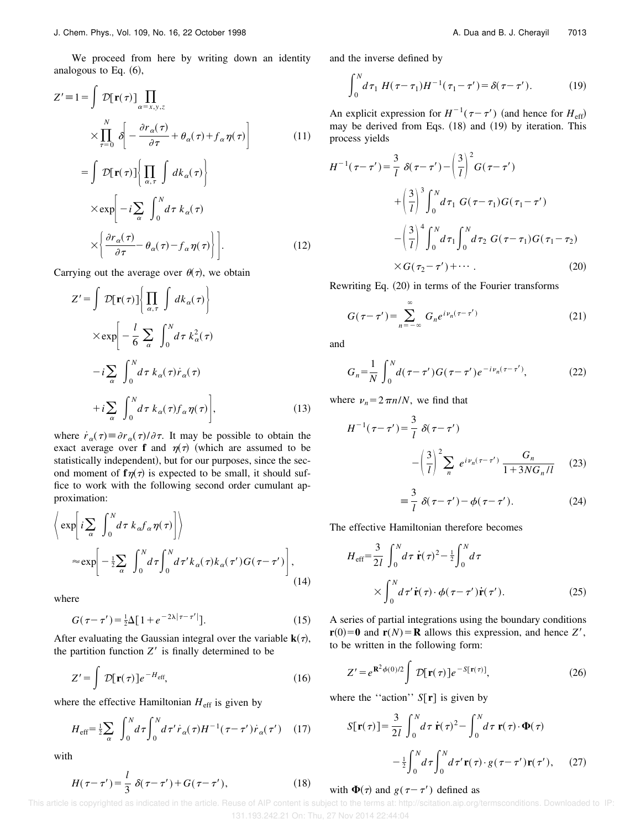We proceed from here by writing down an identity analogous to Eq.  $(6)$ ,

$$
Z' = 1 = \int \mathcal{D}[\mathbf{r}(\tau)] \prod_{\alpha = x, y, z} \times \prod_{\tau = 0}^{N} \delta \left[ -\frac{\partial r_{\alpha}(\tau)}{\partial \tau} + \theta_{\alpha}(\tau) + f_{\alpha} \eta(\tau) \right]
$$
(11)

$$
= \int \mathcal{D}[\mathbf{r}(\tau)] \left\{ \prod_{\alpha,\tau} \int dk_{\alpha}(\tau) \right\}
$$

$$
\times \exp\left[-i \sum_{\alpha} \int_{0}^{N} d\tau k_{\alpha}(\tau) \right]
$$

$$
\times \left\{ \frac{\partial r_{\alpha}(\tau)}{\partial \tau} - \theta_{\alpha}(\tau) - f_{\alpha} \eta(\tau) \right\} \right].
$$
 (12)

Carrying out the average over  $\theta(\tau)$ , we obtain

$$
Z' = \int \mathcal{D}[\mathbf{r}(\tau)] \Biggl\{ \prod_{\alpha,\tau} \int dk_{\alpha}(\tau) \Biggr\}
$$
  
\n
$$
\times \exp \Biggl[ -\frac{l}{6} \sum_{\alpha} \int_{0}^{N} d\tau \, k_{\alpha}^{2}(\tau)
$$
  
\n
$$
-i \sum_{\alpha} \int_{0}^{N} d\tau \, k_{\alpha}(\tau) \dot{r}_{\alpha}(\tau)
$$
  
\n
$$
+i \sum_{\alpha} \int_{0}^{N} d\tau \, k_{\alpha}(\tau) f_{\alpha} \eta(\tau) \Biggr],
$$
\n(13)

where  $\dot{r}_\alpha(\tau) \equiv \partial r_\alpha(\tau)/\partial \tau$ . It may be possible to obtain the exact average over **f** and  $\eta(\tau)$  (which are assumed to be statistically independent), but for our purposes, since the second moment of  $f\eta(\tau)$  is expected to be small, it should suffice to work with the following second order cumulant approximation:

$$
\left\langle \exp \left( i \sum_{\alpha} \int_{0}^{N} d\tau \, k_{\alpha} f_{\alpha} \eta(\tau) \right] \right\rangle
$$
  

$$
\approx \exp \left( - \frac{1}{2} \sum_{\alpha} \int_{0}^{N} d\tau \int_{0}^{N} d\tau' k_{\alpha}(\tau) k_{\alpha}(\tau') G(\tau - \tau') \right), \tag{14}
$$

where

$$
G(\tau - \tau') = \frac{1}{2}\Delta[1 + e^{-2\lambda|\tau - \tau'|}].
$$
\n(15)

After evaluating the Gaussian integral over the variable  $\mathbf{k}(\tau)$ , the partition function  $Z'$  is finally determined to be

$$
Z' = \int \mathcal{D}[\mathbf{r}(\tau)]e^{-H_{\text{eff}}},\tag{16}
$$

where the effective Hamiltonian  $H_{\text{eff}}$  is given by

$$
H_{\text{eff}} = \frac{1}{2} \sum_{\alpha} \int_{0}^{N} d\tau \int_{0}^{N} d\tau' \dot{r}_{\alpha}(\tau) H^{-1}(\tau - \tau') \dot{r}_{\alpha}(\tau') \quad (17)
$$

with

$$
H(\tau - \tau') = \frac{l}{3} \delta(\tau - \tau') + G(\tau - \tau'), \qquad (18)
$$

and the inverse defined by

$$
\int_0^N d\tau_1 H(\tau - \tau_1) H^{-1}(\tau_1 - \tau') = \delta(\tau - \tau'). \tag{19}
$$

An explicit expression for  $H^{-1}(\tau - \tau')$  (and hence for  $H_{\text{eff}}$ ) may be derived from Eqs. (18) and (19) by iteration. This process yields

$$
H^{-1}(\tau - \tau') = \frac{3}{l} \delta(\tau - \tau') - \left(\frac{3}{l}\right)^2 G(\tau - \tau')
$$
  
+  $\left(\frac{3}{l}\right)^3 \int_0^N d\tau_1 G(\tau - \tau_1) G(\tau_1 - \tau')$   
-  $\left(\frac{3}{l}\right)^4 \int_0^N d\tau_1 \int_0^N d\tau_2 G(\tau - \tau_1) G(\tau_1 - \tau_2)$   
 $\times G(\tau_2 - \tau') + \cdots$  (20)

Rewriting Eq.  $(20)$  in terms of the Fourier transforms

$$
G(\tau - \tau') = \sum_{n = -\infty}^{\infty} G_n e^{i\nu_n(\tau - \tau')}
$$
 (21)

and

$$
G_n = \frac{1}{N} \int_0^N d(\tau - \tau') G(\tau - \tau') e^{-i\nu_n(\tau - \tau')}, \qquad (22)
$$

where  $\nu_n=2\pi n/N$ , we find that

$$
H^{-1}(\tau-\tau') = \frac{3}{l} \delta(\tau-\tau')
$$

$$
-\left(\frac{3}{l}\right)^2 \sum_n e^{i\nu_n(\tau-\tau')} \frac{G_n}{1+3NG_n/l} \qquad (23)
$$

$$
\equiv \frac{3}{l} \delta(\tau-\tau') - \phi(\tau-\tau'). \qquad (24)
$$

The effective Hamiltonian therefore becomes

$$
H_{\text{eff}} = \frac{3}{2l} \int_0^N d\tau \, \dot{\mathbf{r}}(\tau)^2 - \frac{1}{2} \int_0^N d\tau
$$

$$
\times \int_0^N d\tau' \, \dot{\mathbf{r}}(\tau) \cdot \phi(\tau - \tau') \, \dot{\mathbf{r}}(\tau'). \tag{25}
$$

A series of partial integrations using the boundary conditions  $\mathbf{r}(0) = \mathbf{0}$  and  $\mathbf{r}(N) = \mathbf{R}$  allows this expression, and hence Z', to be written in the following form:

$$
Z' = e^{\mathbf{R}^2 \phi(0)/2} \int \mathcal{D}[\mathbf{r}(\tau)] e^{-S[\mathbf{r}(\tau)]}, \tag{26}
$$

where the "action"  $S[\mathbf{r}]$  is given by

$$
S[\mathbf{r}(\tau)] = \frac{3}{2l} \int_0^N d\tau \, \dot{\mathbf{r}}(\tau)^2 - \int_0^N d\tau \, \mathbf{r}(\tau) \cdot \Phi(\tau)
$$

$$
- \frac{1}{2} \int_0^N d\tau \int_0^N d\tau' \mathbf{r}(\tau) \cdot g(\tau - \tau') \mathbf{r}(\tau'), \quad (27)
$$

### with  $\Phi(\tau)$  and  $g(\tau-\tau')$  defined as

 This article is copyrighted as indicated in the article. Reuse of AIP content is subject to the terms at: http://scitation.aip.org/termsconditions. Downloaded to IP: 131.193.242.21 On: Thu, 27 Nov 2014 22:44:04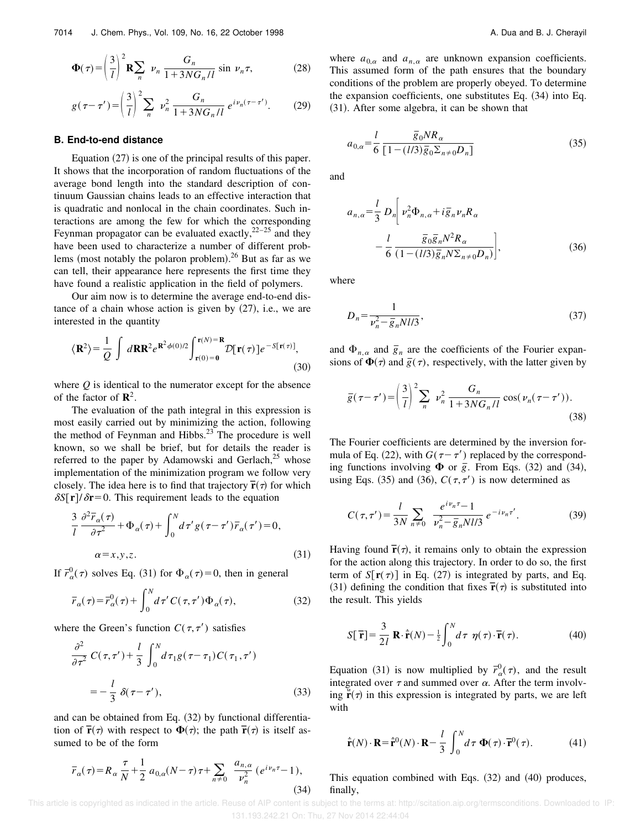$$
\Phi(\tau) = \left(\frac{3}{l}\right)^2 \mathbf{R} \sum_n \ \nu_n \ \frac{G_n}{1 + 3NG_n/l} \sin \ \nu_n \tau,\tag{28}
$$

$$
g(\tau - \tau') = \left(\frac{3}{l}\right)^2 \sum_n \nu_n^2 \frac{G_n}{1 + 3NG_n/l} e^{i\nu_n(\tau - \tau')}.
$$
 (29)

#### **B. End-to-end distance**

Equation  $(27)$  is one of the principal results of this paper. It shows that the incorporation of random fluctuations of the average bond length into the standard description of continuum Gaussian chains leads to an effective interaction that is quadratic and nonlocal in the chain coordinates. Such interactions are among the few for which the corresponding Feynman propagator can be evaluated exactly,  $2^{2-25}$  and they have been used to characterize a number of different problems (most notably the polaron problem).<sup>26</sup> But as far as we can tell, their appearance here represents the first time they have found a realistic application in the field of polymers.

Our aim now is to determine the average end-to-end distance of a chain whose action is given by  $(27)$ , i.e., we are interested in the quantity

$$
\langle \mathbf{R}^2 \rangle = \frac{1}{Q} \int d\mathbf{R} \mathbf{R}^2 e^{\mathbf{R}^2 \phi(0)/2} \int_{\mathbf{r}(0) = \mathbf{0}}^{\mathbf{r}(N) = \mathbf{R}} \mathcal{D}[\mathbf{r}(\tau)] e^{-S[\mathbf{r}(\tau)]},
$$
\n(30)

where *Q* is identical to the numerator except for the absence of the factor of  $\mathbb{R}^2$ .

The evaluation of the path integral in this expression is most easily carried out by minimizing the action, following the method of Feynman and Hibbs. $2<sup>3</sup>$  The procedure is well known, so we shall be brief, but for details the reader is referred to the paper by Adamowski and Gerlach, $^{25}$  whose implementation of the minimization program we follow very closely. The idea here is to find that trajectory  $\overline{\mathbf{r}}(\tau)$  for which  $\delta S[\mathbf{r}]/\delta \mathbf{r} = 0$ . This requirement leads to the equation

$$
\frac{3}{l} \frac{\partial^2 \overline{r}_{\alpha}(\tau)}{\partial \tau^2} + \Phi_{\alpha}(\tau) + \int_0^N d\tau' g(\tau - \tau') \overline{r}_{\alpha}(\tau') = 0,
$$
  

$$
\alpha = x, y, z.
$$
 (31)

If  $\bar{r}_{\alpha}^{0}(\tau)$  solves Eq. (31) for  $\Phi_{\alpha}(\tau)=0$ , then in general

$$
\overline{r}_{\alpha}(\tau) = \overline{r}_{\alpha}^{0}(\tau) + \int_{0}^{N} d\tau' C(\tau, \tau') \Phi_{\alpha}(\tau), \qquad (32)
$$

where the Green's function  $C(\tau, \tau')$  satisfies

$$
\frac{\partial^2}{\partial \tau^2} C(\tau, \tau') + \frac{l}{3} \int_0^N d\tau_1 g(\tau - \tau_1) C(\tau_1, \tau')
$$
  
= 
$$
-\frac{l}{3} \delta(\tau - \tau'), \qquad (33)
$$

and can be obtained from Eq.  $(32)$  by functional differentiation of  $\overline{\mathbf{r}}(\tau)$  with respect to  $\Phi(\tau)$ ; the path  $\overline{\mathbf{r}}(\tau)$  is itself assumed to be of the form

where  $a_{0,\alpha}$  and  $a_{n,\alpha}$  are unknown expansion coefficients. This assumed form of the path ensures that the boundary conditions of the problem are properly obeyed. To determine the expansion coefficients, one substitutes Eq.  $(34)$  into Eq. (31). After some algebra, it can be shown that

$$
a_{0,\alpha} = \frac{l}{6} \frac{\bar{g}_0 N R_\alpha}{[1 - (l/3)\bar{g}_0 \Sigma_{n \neq 0} D_n]}
$$
(35)

and

$$
a_{n,\alpha} = \frac{l}{3} D_n \left[ \nu_n^2 \Phi_{n,\alpha} + i \overline{g}_n \nu_n R_\alpha \right]
$$

$$
- \frac{l}{6} \frac{\overline{g}_0 \overline{g}_n N^2 R_\alpha}{(1 - (l/3) \overline{g}_n N \Sigma_{n \neq 0} D_n)} \right],
$$
(36)

where

$$
D_n = \frac{1}{\nu_n^2 - \bar{g}_n N l / 3},\tag{37}
$$

and  $\Phi_{n,\alpha}$  and  $\bar{g}_n$  are the coefficients of the Fourier expansions of  $\Phi(\tau)$  and  $\bar{g}(\tau)$ , respectively, with the latter given by

$$
\overline{g}(\tau-\tau') = \left(\frac{3}{l}\right)^2 \sum_n \nu_n^2 \frac{G_n}{1+3NG_n/l} \cos(\nu_n(\tau-\tau')).
$$
\n(38)

The Fourier coefficients are determined by the inversion formula of Eq. (22), with  $G(\tau-\tau')$  replaced by the corresponding functions involving  $\Phi$  or  $\overline{g}$ . From Eqs. (32) and (34), using Eqs. (35) and (36),  $C(\tau, \tau')$  is now determined as

$$
C(\tau, \tau') = \frac{l}{3N} \sum_{n \neq 0} \frac{e^{i\nu_n \tau} - 1}{\nu_n^2 - \bar{g}_n N l/3} e^{-i\nu_n \tau'}.
$$
 (39)

Having found  $\overline{\mathbf{r}}(\tau)$ , it remains only to obtain the expression for the action along this trajectory. In order to do so, the first term of  $S[\mathbf{r}(\tau)]$  in Eq. (27) is integrated by parts, and Eq. (31) defining the condition that fixes  $\overline{\mathbf{r}}(\tau)$  is substituted into the result. This yields

$$
S[\overline{\mathbf{r}}] = \frac{3}{2l} \mathbf{R} \cdot \dot{\mathbf{r}}(N) - \frac{1}{2} \int_0^N d\tau \ \eta(\tau) \cdot \overline{\mathbf{r}}(\tau). \tag{40}
$$

Equation (31) is now multiplied by  $\overline{r}_{\alpha}^{0}(\tau)$ , and the result integrated over  $\tau$  and summed over  $\alpha$ . After the term involving  $\vec{r}(\tau)$  in this expression is integrated by parts, we are left with

$$
\dot{\mathbf{r}}(N) \cdot \mathbf{R} = \dot{\mathbf{r}}^0(N) \cdot \mathbf{R} - \frac{l}{3} \int_0^N d\tau \, \mathbf{\Phi}(\tau) \cdot \mathbf{\bar{r}}^0(\tau). \tag{41}
$$

This equation combined with Eqs.  $(32)$  and  $(40)$  produces, finally,

This article is copyrighted as indicated in the article. Reuse of AIP content is subject to the terms at: http://scitation.aip.org/termsconditions. Downloaded to IP: 131.193.242.21 On: Thu, 27 Nov 2014 22:44:04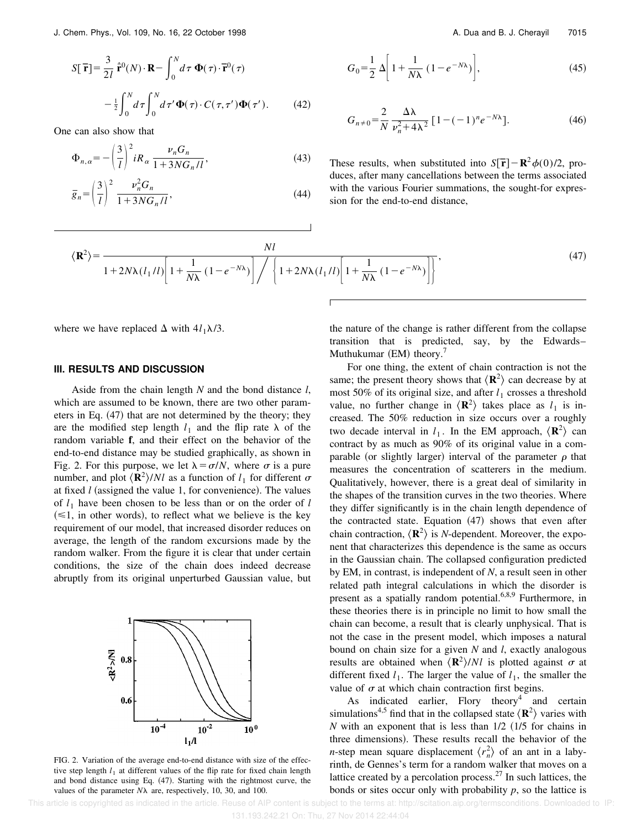J. Chem. Phys., Vol. 109, No. 16, 22 October 1998 **A. 20 A. 20 A. 20 A. 20 A. 20 A. Dua and B. J. Cherayil** 7015

$$
S[\overline{\mathbf{r}}] = \frac{3}{2l} \dot{\mathbf{r}}^0(N) \cdot \mathbf{R} - \int_0^N d\tau \, \mathbf{\Phi}(\tau) \cdot \overline{\mathbf{r}}^0(\tau)
$$

$$
- \frac{1}{2} \int_0^N d\tau \int_0^N d\tau' \mathbf{\Phi}(\tau) \cdot C(\tau, \tau') \mathbf{\Phi}(\tau'). \tag{42}
$$

One can also show that

$$
\Phi_{n,\alpha} = -\left(\frac{3}{l}\right)^2 iR_\alpha \frac{\nu_n G_n}{1 + 3NG_n/l},\tag{43}
$$

$$
\overline{g}_n = \left(\frac{3}{l}\right)^2 \frac{\nu_n^2 G_n}{1 + 3NG_n/l},\tag{44}
$$

$$
G_0 = \frac{1}{2} \Delta \left[ 1 + \frac{1}{N\lambda} \left( 1 - e^{-N\lambda} \right) \right],\tag{45}
$$

$$
G_{n\neq 0} = \frac{2}{N} \frac{\Delta \lambda}{\nu_n^2 + 4\lambda^2} \left[ 1 - (-1)^n e^{-N\lambda} \right].
$$
 (46)

These results, when substituted into  $S[\overline{\mathbf{r}}] - \mathbf{R}^2 \phi(0)/2$ , produces, after many cancellations between the terms associated with the various Fourier summations, the sought-for expression for the end-to-end distance,

$$
\langle \mathbf{R}^2 \rangle = \frac{Nl}{1 + 2N\lambda (l_1/l)\left[1 + \frac{1}{N\lambda} \left(1 - e^{-N\lambda}\right)\right] / \left\{1 + 2N\lambda (l_1/l)\left[1 + \frac{1}{N\lambda} \left(1 - e^{-N\lambda}\right)\right]\right\}},\tag{47}
$$

where we have replaced  $\Delta$  with  $4l_1\lambda/3$ .

#### **III. RESULTS AND DISCUSSION**

Aside from the chain length *N* and the bond distance *l*, which are assumed to be known, there are two other parameters in Eq.  $(47)$  that are not determined by the theory; they are the modified step length  $l_1$  and the flip rate  $\lambda$  of the random variable **f**, and their effect on the behavior of the end-to-end distance may be studied graphically, as shown in Fig. 2. For this purpose, we let  $\lambda = \sigma/N$ , where  $\sigma$  is a pure number, and plot  $\langle \mathbf{R}^2 \rangle / Nl$  as a function of  $l_1$  for different  $\sigma$ at fixed  $l$  (assigned the value 1, for convenience). The values of *l*<sup>1</sup> have been chosen to be less than or on the order of *l*  $(\leq 1,$  in other words), to reflect what we believe is the key requirement of our model, that increased disorder reduces on average, the length of the random excursions made by the random walker. From the figure it is clear that under certain conditions, the size of the chain does indeed decrease abruptly from its original unperturbed Gaussian value, but



FIG. 2. Variation of the average end-to-end distance with size of the effective step length  $l_1$  at different values of the flip rate for fixed chain length and bond distance using Eq.  $(47)$ . Starting with the rightmost curve, the values of the parameter  $N\lambda$  are, respectively, 10, 30, and 100.

the nature of the change is rather different from the collapse transition that is predicted, say, by the Edwards– Muthukumar  $(EM)$  theory.<sup> $\prime$ </sup>

For one thing, the extent of chain contraction is not the same; the present theory shows that  $\langle \mathbf{R}^2 \rangle$  can decrease by at most 50% of its original size, and after  $l_1$  crosses a threshold value, no further change in  $\langle \mathbf{R}^2 \rangle$  takes place as  $l_1$  is increased. The 50% reduction in size occurs over a roughly two decade interval in  $l_1$ . In the EM approach,  $\langle \mathbf{R}^2 \rangle$  can contract by as much as 90% of its original value in a comparable (or slightly larger) interval of the parameter  $\rho$  that measures the concentration of scatterers in the medium. Qualitatively, however, there is a great deal of similarity in the shapes of the transition curves in the two theories. Where they differ significantly is in the chain length dependence of the contracted state. Equation  $(47)$  shows that even after chain contraction,  $\langle \mathbf{R}^2 \rangle$  is *N*-dependent. Moreover, the exponent that characterizes this dependence is the same as occurs in the Gaussian chain. The collapsed configuration predicted by EM, in contrast, is independent of *N*, a result seen in other related path integral calculations in which the disorder is present as a spatially random potential.<sup>6,8,9</sup> Furthermore, in these theories there is in principle no limit to how small the chain can become, a result that is clearly unphysical. That is not the case in the present model, which imposes a natural bound on chain size for a given *N* and *l*, exactly analogous results are obtained when  $\langle \mathbf{R}^2 \rangle / Nl$  is plotted against  $\sigma$  at different fixed  $l_1$ . The larger the value of  $l_1$ , the smaller the value of  $\sigma$  at which chain contraction first begins.

As indicated earlier, Flory theory<sup>4</sup> and certain simulations<sup>4,5</sup> find that in the collapsed state  $\langle \mathbf{R}^2 \rangle$  varies with  *with an exponent that is less than*  $1/2$  *(* $1/5$  *for chains in* three dimensions). These results recall the behavior of the *n*-step mean square displacement  $\langle r_n^2 \rangle$  of an ant in a labyrinth, de Gennes's term for a random walker that moves on a lattice created by a percolation process. $27$  In such lattices, the bonds or sites occur only with probability *p*, so the lattice is

This article is copyrighted as indicated in the article. Reuse of AIP content is subject to the terms at: http://scitation.aip.org/termsconditions. Downloaded to IP: